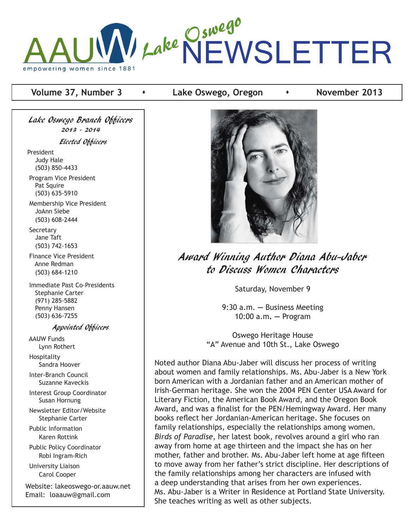

#### **Volume 37, Number 3**  $\bullet$  **Lake Oswego, Oregon**  $\bullet$  **November 2013**

Lake Oswego Branch Officers 2013 - 2014 Elected Officers President Judy Hale (503) 850-4433 Program Vice President Pat Squire (503) 635-5910

 Membership Vice President JoAnn Siebe (503) 608-2444

**Secretary**  Jane Taft (503) 742-1653

 Finance Vice President Anne Redman (503) 684-1210

 Immediate Past Co-Presidents Stephanie Carter (971) 285-5882 Penny Hansen (503) 636-7255

Appointed Officers

 AAUW Funds Lynn Rothert Hospitality

Sandra Hoover

 Inter-Branch Council Suzanne Kaveckis

 Interest Group Coordinator Susan Hornung

 Newsletter Editor/Website Stephanie Carter

 Public Information Karen Rottink

 Public Policy Coordinator Robi Ingram-Rich

 University Liaison Carol Cooper

Website: lakeoswego-or.aauw.net Email: loaauw@gmail.com



Award Winning Author Diana Abu-Jaber to Discuss Women Characters

Saturday, November 9

9:30 a.m. **—** Business Meeting 10:00 a.m**. —** Program

Oswego Heritage House "A" Avenue and 10th St., Lake Oswego

Noted author Diana Abu-Jaber will discuss her process of writing about women and family relationships. Ms. Abu-Jaber is a New York born American with a Jordanian father and an American mother of Irish-German heritage. She won the 2004 PEN Center USA Award for Literary Fiction, the American Book Award, and the Oregon Book Award, and was a finalist for the PEN/Hemingway Award. Her many books reflect her Jordanian-American heritage. She focuses on family relationships, especially the relationships among women. *Birds of Paradise*, her latest book, revolves around a girl who ran away from home at age thirteen and the impact she has on her mother, father and brother. Ms. Abu-Jaber left home at age fifteen to move away from her father's strict discipline. Her descriptions of the family relationships among her characters are infused with a deep understanding that arises from her own experiences. Ms. Abu-Jaber is a Writer in Residence at Portland State University. She teaches writing as well as other subjects.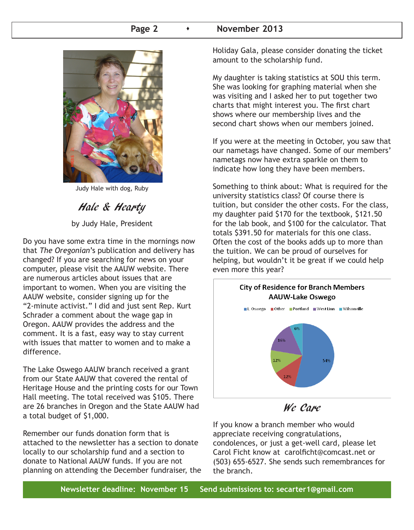#### **Page 2 b Rovember 2013**



Judy Hale with dog, Ruby

Hale & Hearty

by Judy Hale, President

Do you have some extra time in the mornings now that *The Oregonian*'s publication and delivery has changed? If you are searching for news on your computer, please visit the AAUW website. There are numerous articles about issues that are important to women. When you are visiting the AAUW website, consider signing up for the "2-minute activist." I did and just sent Rep. Kurt Schrader a comment about the wage gap in Oregon. AAUW provides the address and the comment. It is a fast, easy way to stay current with issues that matter to women and to make a difference.

The Lake Oswego AAUW branch received a grant from our State AAUW that covered the rental of Heritage House and the printing costs for our Town Hall meeting. The total received was \$105. There are 26 branches in Oregon and the State AAUW had a total budget of \$1,000.

Remember our funds donation form that is attached to the newsletter has a section to donate locally to our scholarship fund and a section to donate to National AAUW funds. If you are not planning on attending the December fundraiser, the Holiday Gala, please consider donating the ticket amount to the scholarship fund.

My daughter is taking statistics at SOU this term. She was looking for graphing material when she was visiting and I asked her to put together two charts that might interest you. The first chart shows where our membership lives and the second chart shows when our members joined.

If you were at the meeting in October, you saw that our nametags have changed. Some of our members' nametags now have extra sparkle on them to indicate how long they have been members.

Something to think about: What is required for the university statistics class? Of course there is tuition, but consider the other costs. For the class, my daughter paid \$170 for the textbook, \$121.50 for the lab book, and \$100 for the calculator. That totals \$391.50 for materials for this one class. Often the cost of the books adds up to more than the tuition. We can be proud of ourselves for helping, but wouldn't it be great if we could help even more this year?





If you know a branch member who would appreciate receiving congratulations, condolences, or just a get-well card, please let Carol Ficht know at carolficht@comcast.net or (503) 655-6527. She sends such remembrances for the branch.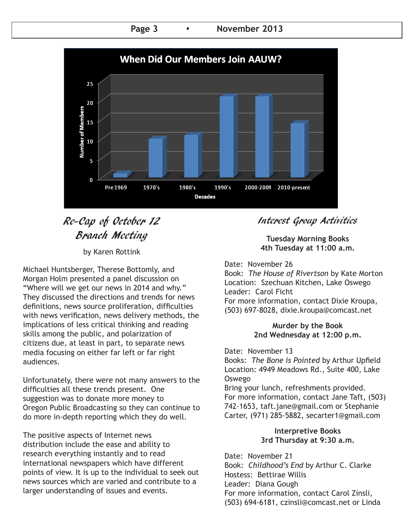Page 3 **b November 2013** 



# Re-Cap of October 12 Branch Meeting

by Karen Rottink

Michael Huntsberger, Therese Bottomly, and Morgan Holm presented a panel discussion on "Where will we get our news in 2014 and why." They discussed the directions and trends for news definitions, news source proliferation, difficulties with news verification, news delivery methods, the implications of less critical thinking and reading skills among the public, and polarization of citizens due, at least in part, to separate news media focusing on either far left or far right audiences.

Unfortunately, there were not many answers to the difficulties all these trends present. One suggestion was to donate more money to Oregon Public Broadcasting so they can continue to do more in-depth reporting which they do well.

The positive aspects of Internet news distribution include the ease and ability to research everything instantly and to read international newspapers which have different points of view. It is up to the individual to seek out news sources which are varied and contribute to a larger understanding of issues and events.

## Interest Group Activities

**Tuesday Morning Books 4th Tuesday at 11:00 a.m.**

Date: November 26 Book: *The House of Rivertson* by Kate Morton Location: Szechuan Kitchen, Lake Oswego Leader: Carol Ficht For more information, contact Dixie Kroupa, (503) 697-8028, dixie.kroupa@comcast.net

#### **Murder by the Book 2nd Wednesday at 12:00 p.m.**

Date: November 13 Books: *The Bone is Pointed* by Arthur Upfield Location: 4949 Meadows Rd., Suite 400, Lake Oswego

Bring your lunch, refreshments provided. For more information, contact Jane Taft, (503) 742-1653, taft.jane@gmail.com or Stephanie Carter, (971) 285-5882, secarter1@gmail.com

#### **Interpretive Books 3rd Thursday at 9:30 a.m.**

Date: November 21 Book: *Childhood's End* by Arthur C. Clarke Hostess: Bettirae Willis Leader: Diana Gough For more information, contact Carol Zinsli, (503) 694-6181, czinsli@comcast.net or Linda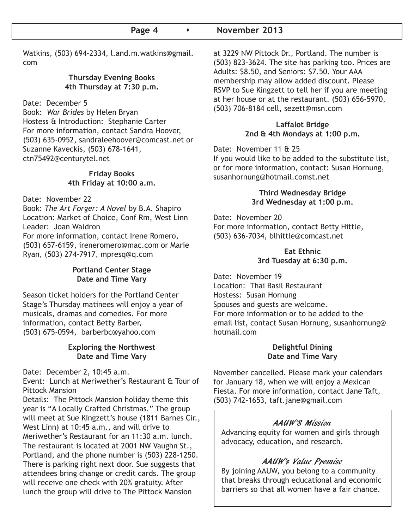#### Page 4  $\longrightarrow$  November 2013

Watkins, (503) 694-2334, l.and.m.watkins@gmail. com

#### **Thursday Evening Books 4th Thursday at 7:30 p.m.**

Date: December 5

Book: *War Brides* by Helen Bryan Hostess & Introduction: Stephanie Carter For more information, contact Sandra Hoover, (503) 635-0952, sandraleehoover@comcast.net or Suzanne Kaveckis, (503) 678-1641, ctn75492@centurytel.net

#### **Friday Books 4th Friday at 10:00 a.m.**

Date: November 22

Book: *The Art Forger: A Novel* by B.A. Shapiro Location: Market of Choice, Conf Rm, West Linn Leader: Joan Waldron For more information, contact Irene Romero, (503) 657-6159, ireneromero@mac.com or Marie Ryan, (503) 274-7917, mpresq@q.com

#### **Portland Center Stage Date and Time Vary**

Season ticket holders for the Portland Center Stage's Thursday matinees will enjoy a year of musicals, dramas and comedies. For more information, contact Betty Barber, (503) 675-0594, barberbc@yahoo.com

#### **Exploring the Northwest Date and Time Vary**

Date: December 2, 10:45 a.m.

Event: Lunch at Meriwether's Restaurant & Tour of Pittock Mansion

Details: The Pittock Mansion holiday theme this year is "A Locally Crafted Christmas." The group will meet at Sue Kingzett's house (1811 Barnes Cir., West Linn) at 10:45 a.m., and will drive to Meriwether's Restaurant for an 11:30 a.m. lunch. The restaurant is located at 2001 NW Vaughn St., Portland, and the phone number is (503) 228-1250. There is parking right next door. Sue suggests that attendees bring change or credit cards. The group will receive one check with 20% gratuity. After lunch the group will drive to The Pittock Mansion

at 3229 NW Pittock Dr., Portland. The number is (503) 823-3624. The site has parking too. Prices are Adults: \$8.50, and Seniors: \$7.50. Your AAA membership may allow added discount. Please RSVP to Sue Kingzett to tell her if you are meeting at her house or at the restaurant. (503) 656-5970, (503) 706-8184 cell, sezett@msn.com

#### **Laffalot Bridge 2nd & 4th Mondays at 1:00 p.m.**

#### Date: November 11 & 25

If you would like to be added to the substitute list, or for more information, contact: Susan Hornung, susanhornung@hotmail.comst.net

#### **Third Wednesday Bridge 3rd Wednesday at 1:00 p.m.**

Date: November 20 For more information, contact Betty Hittle, (503) 636-7034, blhittle@comcast.net

#### **Eat Ethnic 3rd Tuesday at 6:30 p.m.**

Date: November 19 Location: Thai Basil Restaurant Hostess: Susan Hornung Spouses and guests are welcome. For more information or to be added to the email list, contact Susan Hornung, susanhornung@ hotmail.com

#### **Delightful Dining Date and Time Vary**

November cancelled. Please mark your calendars for January 18, when we will enjoy a Mexican Fiesta. For more information, contact Jane Taft, (503) 742-1653, taft.jane@gmail.com

#### AAUW'S Mission

Advancing equity for women and girls through advocacy, education, and research.

#### AAUW's Value Promise

By joining AAUW, you belong to a community that breaks through educational and economic barriers so that all women have a fair chance.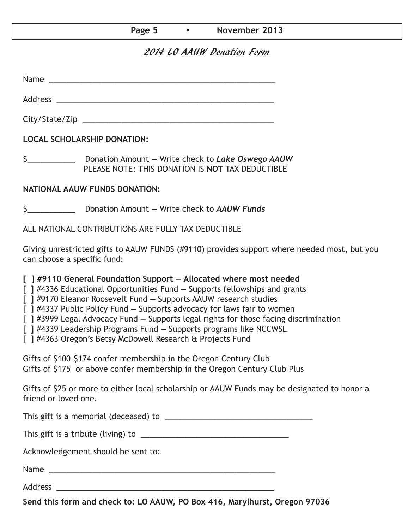#### Page 5  $\longrightarrow$  November 2013

### 2014 LO AAUW Donation Form

Name was also as  $\sim$  100  $\mu$  and  $\mu$  and  $\mu$  and  $\mu$  and  $\mu$  and  $\mu$  and  $\mu$  and  $\mu$  and  $\mu$  and  $\mu$  and  $\mu$  and  $\mu$  and  $\mu$  and  $\mu$  and  $\mu$  and  $\mu$  and  $\mu$  and  $\mu$  and  $\mu$  and  $\mu$  and  $\mu$  and  $\mu$  an

City/State/Zip 2000 and 2000 and 2000 and 2000 and 2000 and 2000 and 2000 and 2000 and 2000 and 200

Address \_\_\_\_\_\_\_\_\_\_\_\_\_\_\_\_\_\_\_\_\_\_\_\_\_\_\_\_\_\_\_\_\_\_\_\_\_\_\_\_\_\_\_\_\_\_\_\_\_\_

**LOCAL SCHOLARSHIP DONATION:**

\$\_\_\_\_\_\_\_\_\_\_\_ Donation Amount **—** Write check to *Lake Oswego AAUW* PLEASE NOTE: THIS DONATION IS **NOT** TAX DEDUCTIBLE

#### **NATIONAL AAUW FUNDS DONATION:**

\$\_\_\_\_\_\_\_\_\_\_\_ Donation Amount **—** Write check to *AAUW Funds*

ALL NATIONAL CONTRIBUTIONS ARE FULLY TAX DEDUCTIBLE

Giving unrestricted gifts to AAUW FUNDS (#9110) provides support where needed most, but you can choose a specific fund:

**[ ] #9110 General Foundation Support — Allocated where most needed** 

[ ] #4336 Educational Opportunities Fund **—** Supports fellowships and grants

[ ] #9170 Eleanor Roosevelt Fund **—** Supports AAUW research studies

[ ] #4337 Public Policy Fund **—** Supports advocacy for laws fair to women

[ ] #3999 Legal Advocacy Fund **—** Supports legal rights for those facing discrimination

[ ] #4339 Leadership Programs Fund **—** Supports programs like NCCWSL

[ ] #4363 Oregon's Betsy McDowell Research & Projects Fund

Gifts of \$100–\$174 confer membership in the Oregon Century Club Gifts of \$175 or above confer membership in the Oregon Century Club Plus

Gifts of \$25 or more to either local scholarship or AAUW Funds may be designated to honor a friend or loved one.

This gift is a memorial (deceased) to \_\_\_\_\_\_\_\_\_\_\_\_\_\_\_\_\_\_\_\_\_\_\_\_\_\_\_\_\_\_\_\_\_\_

This gift is a tribute (living) to \_\_\_\_\_\_\_\_\_\_\_\_\_\_\_\_\_\_\_\_\_\_\_\_\_\_\_\_\_\_\_\_\_\_

Acknowledgement should be sent to:

Name \_\_\_\_\_\_\_\_\_\_\_\_\_\_\_\_\_\_\_\_\_\_\_\_\_\_\_\_\_\_\_\_\_\_\_\_\_\_\_\_\_\_\_\_\_\_\_\_\_\_\_\_

Address \_\_\_\_\_\_\_\_\_\_\_\_\_\_\_\_\_\_\_\_\_\_\_\_\_\_\_\_\_\_\_\_\_\_\_\_\_\_\_\_\_\_\_\_\_\_\_\_\_\_

**Send this form and check to: LO AAUW, PO Box 416, Marylhurst, Oregon 97036**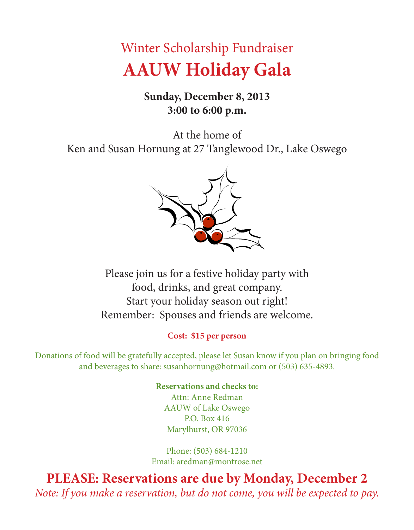# Winter Scholarship Fundraiser **AAUW Holiday Gala**

# **Sunday, December 8, 2013 3:00 to 6:00 p.m.**

At the home of Ken and Susan Hornung at 27 Tanglewood Dr., Lake Oswego



Please join us for a festive holiday party with food, drinks, and great company. Start your holiday season out right! Remember: Spouses and friends are welcome.

## **Cost: \$15 per person**

Donations of food will be gratefully accepted, please let Susan know if you plan on bringing food and beverages to share: susanhornung@hotmail.com or (503) 635-4893.

## **Reservations and checks to:**

Attn: Anne Redman AAUW of Lake Oswego P.O. Box 416 Marylhurst, OR 97036

Phone: (503) 684-1210 Email: aredman@montrose.net

**PLEASE: Reservations are due by Monday, December 2** *Note: If you make a reservation, but do not come, you will be expected to pay.*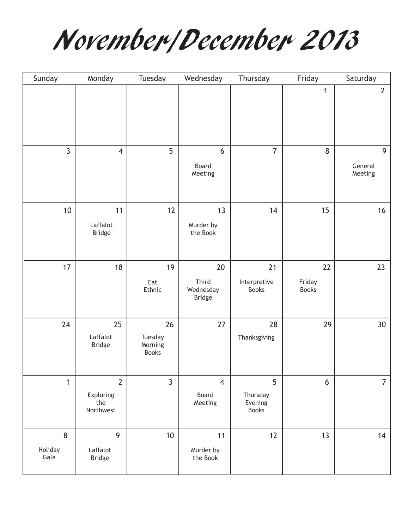November/December 2013

| Sunday               | Monday                                          | Tuesday                                  | Wednesday                                 | Thursday                                 | Friday                       | Saturday                             |
|----------------------|-------------------------------------------------|------------------------------------------|-------------------------------------------|------------------------------------------|------------------------------|--------------------------------------|
|                      |                                                 |                                          |                                           |                                          | $\mathbf{1}$                 | $\overline{2}$                       |
| 3                    | $\overline{4}$                                  | 5                                        | 6<br>Board<br>Meeting                     | $\overline{7}$                           | 8                            | $\overline{9}$<br>General<br>Meeting |
| $10$                 | 11<br>Laffalot<br><b>Bridge</b>                 | 12                                       | 13<br>Murder by<br>the Book               | 14                                       | 15                           | 16                                   |
| 17                   | 18                                              | 19<br>Eat<br>Ethnic                      | 20<br>Third<br>Wednesday<br><b>Bridge</b> | 21<br>Interpretive<br><b>Books</b>       | 22<br>Friday<br><b>Books</b> | 23                                   |
| 24                   | 25<br>Laffalot<br><b>Bridge</b>                 | 26<br>Tuesday<br>Morning<br><b>Books</b> | 27                                        | 28<br>Thanksgiving                       | 29                           | 30 <sup>°</sup>                      |
| $\mathbf{1}$         | $\overline{2}$<br>Exploring<br>the<br>Northwest | $\overline{3}$                           | $\overline{4}$<br>Board<br>Meeting        | 5<br>Thursday<br>Evening<br><b>Books</b> | 6                            | $\overline{7}$                       |
| 8<br>Holiday<br>Gala | 9<br>Laffalot<br><b>Bridge</b>                  | 10                                       | 11<br>Murder by<br>the Book               | 12                                       | 13                           | 14                                   |